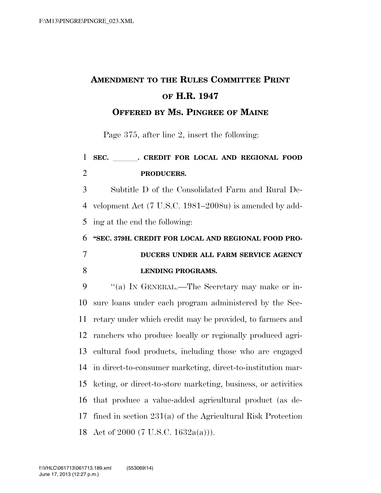# **AMENDMENT TO THE RULES COMMITTEE PRINT OF H.R. 1947**

**OFFERED BY MS. PINGREE OF MAINE**

Page 375, after line 2, insert the following:

### 1 SEC. CREDIT FOR LOCAL AND REGIONAL FOOD **PRODUCERS.**

 Subtitle D of the Consolidated Farm and Rural De- velopment Act (7 U.S.C. 1981–2008u) is amended by add-ing at the end the following:

 **''SEC. 379H. CREDIT FOR LOCAL AND REGIONAL FOOD PRO- DUCERS UNDER ALL FARM SERVICE AGENCY LENDING PROGRAMS.** 

9 "(a) In GENERAL.—The Secretary may make or in- sure loans under each program administered by the Sec- retary under which credit may be provided, to farmers and ranchers who produce locally or regionally produced agri- cultural food products, including those who are engaged in direct-to-consumer marketing, direct-to-institution mar- keting, or direct-to-store marketing, business, or activities that produce a value-added agricultural product (as de- fined in section 231(a) of the Agricultural Risk Protection Act of 2000 (7 U.S.C. 1632a(a))).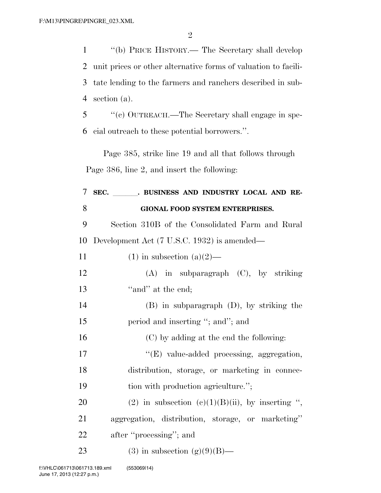''(b) PRICE HISTORY.— The Secretary shall develop unit prices or other alternative forms of valuation to facili- tate lending to the farmers and ranchers described in sub-section (a).

 ''(c) OUTREACH.—The Secretary shall engage in spe-cial outreach to these potential borrowers.''.

Page 385, strike line 19 and all that follows through Page 386, line 2, and insert the following:

| 7  | SEC. BUSINESS AND INDUSTRY LOCAL AND RE-          |
|----|---------------------------------------------------|
| 8  | <b>GIONAL FOOD SYSTEM ENTERPRISES.</b>            |
| 9  | Section 310B of the Consolidated Farm and Rural   |
| 10 | Development Act (7 U.S.C. 1932) is amended—       |
| 11 | $(1)$ in subsection $(a)(2)$ —                    |
| 12 | $(A)$ in subparagraph $(C)$ , by striking         |
| 13 | "and" at the end;                                 |
| 14 | $(B)$ in subparagraph $(D)$ , by striking the     |
| 15 | period and inserting "; and"; and                 |
| 16 | (C) by adding at the end the following:           |
| 17 | "(E) value-added processing, aggregation,         |
| 18 | distribution, storage, or marketing in connec-    |
| 19 | tion with production agriculture.";               |
| 20 | (2) in subsection (c)(1)(B)(ii), by inserting ",  |
| 21 | aggregation, distribution, storage, or marketing" |
| 22 | after "processing"; and                           |
| 23 | $(3)$ in subsection $(g)(9)(B)$ —                 |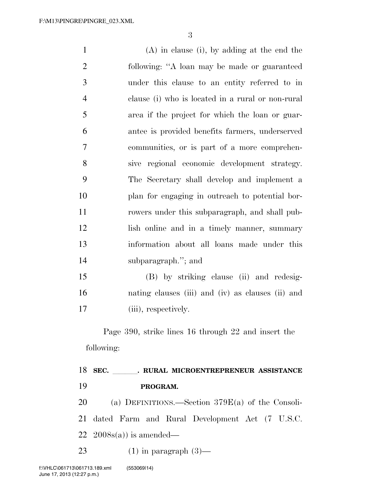(A) in clause (i), by adding at the end the following: ''A loan may be made or guaranteed under this clause to an entity referred to in clause (i) who is located in a rural or non-rural area if the project for which the loan or guar- antee is provided benefits farmers, underserved communities, or is part of a more comprehen- sive regional economic development strategy. The Secretary shall develop and implement a plan for engaging in outreach to potential bor- rowers under this subparagraph, and shall pub- lish online and in a timely manner, summary information about all loans made under this subparagraph.''; and (B) by striking clause (ii) and redesig-nating clauses (iii) and (iv) as clauses (ii) and

17 (iii), respectively.

Page 390, strike lines 16 through 22 and insert the following:

### 18 SEC. **RURAL MICROENTREPRENEUR ASSISTANCE PROGRAM.**

 (a) DEFINITIONS.—Section 379E(a) of the Consoli- dated Farm and Rural Development Act (7 U.S.C. 22  $2008s(a)$  is amended—

23 (1) in paragraph  $(3)$ —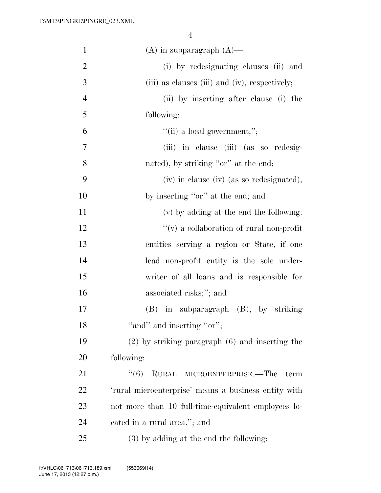| $\mathbf{1}$   | $(A)$ in subparagraph $(A)$ —                        |
|----------------|------------------------------------------------------|
| $\mathbf{2}$   | (i) by redesignating clauses (ii) and                |
| 3              | (iii) as clauses (iii) and (iv), respectively;       |
| $\overline{4}$ | (ii) by inserting after clause (i) the               |
| 5              | following:                                           |
| 6              | $``(ii)$ a local government;";                       |
| $\overline{7}$ | (iii) in clause (iii) (as so redesig-                |
| 8              | nated), by striking "or" at the end;                 |
| 9              | (iv) in clause (iv) (as so redesignated),            |
| 10             | by inserting "or" at the end; and                    |
| 11             | (v) by adding at the end the following:              |
| 12             | $\lq\lq$ (v) a collaboration of rural non-profit     |
| 13             | entities serving a region or State, if one           |
| 14             | lead non-profit entity is the sole under-            |
| 15             | writer of all loans and is responsible for           |
| 16             | associated risks;"; and                              |
| 17             | $(B)$ in subparagraph $(B)$ , by striking            |
| 18             | "and" and inserting "or";                            |
| 19             | $(2)$ by striking paragraph $(6)$ and inserting the  |
| 20             | following:                                           |
| 21             | RURAL MICROENTERPRISE.—The<br>(6)<br>term            |
| 22             | 'rural microenterprise' means a business entity with |
| 23             | not more than 10 full-time-equivalent employees lo-  |
| 24             | cated in a rural area."; and                         |
| 25             | $(3)$ by adding at the end the following:            |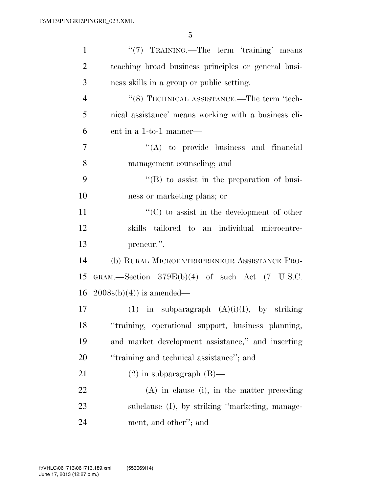| $\mathbf{1}$   | " $(7)$ TRAINING.—The term 'training' means                 |
|----------------|-------------------------------------------------------------|
| $\overline{2}$ | teaching broad business principles or general busi-         |
| 3              | ness skills in a group or public setting.                   |
| $\overline{4}$ | $``(8)$ TECHNICAL ASSISTANCE.—The term 'tech-               |
| 5              | nical assistance' means working with a business cli-        |
| 6              | ent in a 1-to-1 manner—                                     |
| 7              | $\lq\lq$ to provide business and financial                  |
| 8              | management counseling; and                                  |
| 9              | $\lq\lq (B)$ to assist in the preparation of busi-          |
| 10             | ness or marketing plans; or                                 |
| 11             | $\lq\lq$ (C) to assist in the development of other          |
| 12             | skills tailored to an individual microentre-                |
| 13             | preneur.".                                                  |
| 14             | (b) RURAL MICROENTREPRENEUR ASSISTANCE PRO-                 |
| 15             | GRAM.—Section $379E(b)(4)$ of such Act $(7 \text{ U.S.C.})$ |
| 16             | $2008s(b)(4)$ is amended—                                   |
| 17             | (1) in subparagraph $(A)(i)(I)$ , by striking               |
| 18             | "training, operational support, business planning,          |
| 19             | and market development assistance," and inserting           |
| 20             | "training and technical assistance"; and                    |
| 21             | $(2)$ in subparagraph $(B)$ —                               |
| 22             | $(A)$ in clause (i), in the matter preceding                |
| 23             | subclause (I), by striking "marketing, manage-              |
| 24             | ment, and other"; and                                       |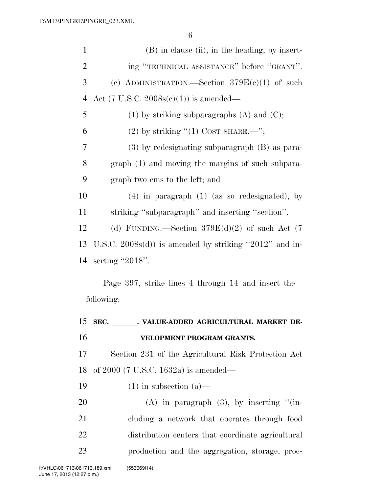| $\mathbf{1}$   | (B) in clause (ii), in the heading, by insert-          |  |
|----------------|---------------------------------------------------------|--|
| $\overline{2}$ | ing "TECHNICAL ASSISTANCE" before "GRANT".              |  |
| 3              | (c) ADMINISTRATION.—Section $379E(c)(1)$ of such        |  |
| $\overline{4}$ | Act (7 U.S.C. $2008s(c)(1)$ ) is amended—               |  |
| 5              | $(1)$ by striking subparagraphs $(A)$ and $(C)$ ;       |  |
| 6              | $(2)$ by striking " $(1)$ COST SHARE.—";                |  |
| 7              | $(3)$ by redesignating subparagraph $(B)$ as para-      |  |
| 8              | graph (1) and moving the margins of such subpara-       |  |
| 9              | graph two ems to the left; and                          |  |
| 10             | $(4)$ in paragraph $(1)$ (as so redesignated), by       |  |
| 11             | striking "subparagraph" and inserting "section".        |  |
| 12             | (d) FUNDING.—Section $379E(d)(2)$ of such Act (7)       |  |
| 13             | U.S.C. $2008s(d)$ is amended by striking "2012" and in- |  |
|                |                                                         |  |
| 14             | serting "2018".                                         |  |
|                | Page 397, strike lines 4 through 14 and insert the      |  |
|                | following:                                              |  |
|                | 15 SEC.<br>VALUE-ADDED AGRICULTURAL MARKET DE-          |  |
|                | VELOPMENT PROGRAM GRANTS.                               |  |
| 16<br>17       | Section 231 of the Agricultural Risk Protection Act     |  |
|                | of $2000$ (7 U.S.C. 1632a) is amended—                  |  |
| 18<br>19       | $(1)$ in subsection $(a)$ —                             |  |
| 20             | $(A)$ in paragraph $(3)$ , by inserting " $(in-)$       |  |
| 21             | cluding a network that operates through food            |  |
| 22             | distribution centers that coordinate agricultural       |  |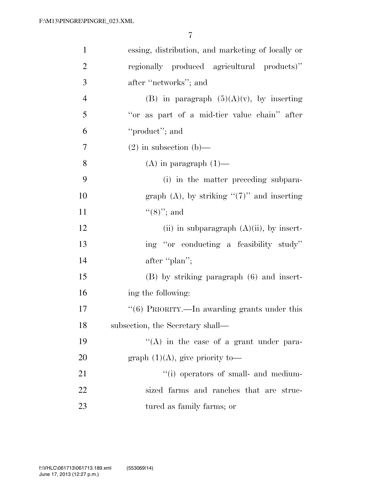| $\mathbf{1}$   | essing, distribution, and marketing of locally or |
|----------------|---------------------------------------------------|
| $\overline{2}$ | regionally produced agricultural products)"       |
| 3              | after "networks"; and                             |
| $\overline{4}$ | (B) in paragraph $(5)(A)(v)$ , by inserting       |
| 5              | "or as part of a mid-tier value chain" after      |
| 6              | "product"; and                                    |
| 7              | $(2)$ in subsection (b)—                          |
| 8              | $(A)$ in paragraph $(1)$ —                        |
| 9              | (i) in the matter preceding subpara-              |
| 10             | graph $(A)$ , by striking " $(7)$ " and inserting |
| 11             | $\lq(8)$ "; and                                   |
| 12             | (ii) in subparagraph $(A)(ii)$ , by insert-       |
| 13             | ing "or conducting a feasibility study"           |
| 14             | after "plan";                                     |
| 15             | $(B)$ by striking paragraph $(6)$ and insert-     |
| 16             | ing the following:                                |
| 17             | " $(6)$ PRIORITY.—In awarding grants under this   |
| 18             | subsection, the Secretary shall-                  |
| 19             | "(A) in the case of a grant under para-           |
| 20             | graph $(1)(A)$ , give priority to-                |
| 21             | "(i) operators of small- and medium-              |
| 22             | sized farms and ranches that are struc-           |
| 23             | tured as family farms; or                         |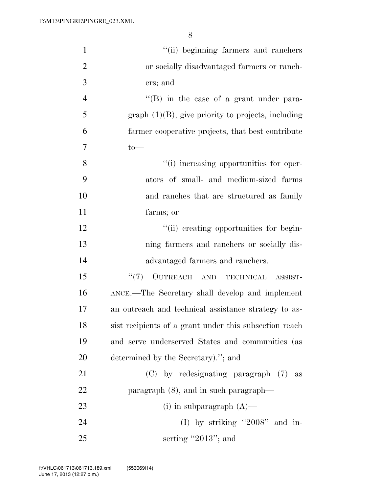| $\mathbf{1}$   | "(ii) beginning farmers and ranchers                   |
|----------------|--------------------------------------------------------|
| $\overline{2}$ | or socially disadvantaged farmers or ranch-            |
| 3              | ers; and                                               |
| $\overline{4}$ | "(B) in the case of a grant under para-                |
| 5              | $graph (1)(B)$ , give priority to projects, including  |
| 6              | farmer cooperative projects, that best contribute      |
| 7              | $to-$                                                  |
| 8              | "(i) increasing opportunities for oper-                |
| 9              | ators of small- and medium-sized farms                 |
| 10             | and ranches that are structured as family              |
| 11             | farms; or                                              |
| 12             | "(ii) creating opportunities for begin-                |
| 13             | ning farmers and ranchers or socially dis-             |
| 14             | advantaged farmers and ranchers.                       |
| 15             | OUTREACH AND TECHNICAL ASSIST-<br>(5(7))               |
| 16             | ANCE.—The Secretary shall develop and implement        |
| 17             | an outreach and technical assistance strategy to as-   |
| 18             | sist recipients of a grant under this subsection reach |
| 19             | and serve underserved States and communities (as       |
| 20             | determined by the Secretary)."; and                    |
| 21             | $(C)$ by redesignating paragraph $(7)$<br>as           |
| 22             | paragraph $(8)$ , and in such paragraph—               |
| 23             | (i) in subparagraph $(A)$ —                            |
| 24             | (I) by striking "2008" and in-                         |
| 25             | serting "2013"; and                                    |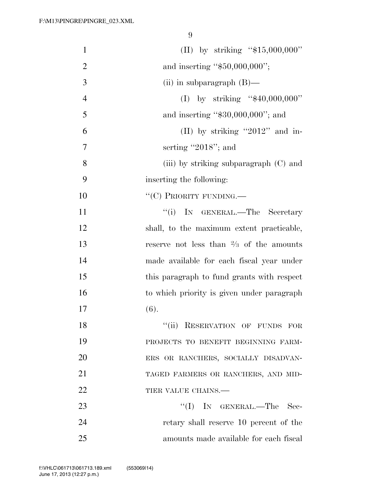| $\mathbf{1}$   | (II) by striking " $$15,000,000"$ "                |
|----------------|----------------------------------------------------|
| $\overline{2}$ | and inserting " $$50,000,000$ ";                   |
| 3              | (ii) in subparagraph $(B)$ —                       |
| $\overline{4}$ | (I) by striking " $$40,000,000"$ "                 |
| 5              | and inserting " $$30,000,000$ "; and               |
| 6              | (II) by striking "2012" and in-                    |
| 7              | serting "2018"; and                                |
| 8              | (iii) by striking subparagraph (C) and             |
| 9              | inserting the following:                           |
| 10             | "(C) PRIORITY FUNDING.                             |
| 11             | "(i) IN GENERAL.—The Secretary                     |
| 12             | shall, to the maximum extent practicable,          |
| 13             | reserve not less than $\frac{2}{3}$ of the amounts |
| 14             | made available for each fiscal year under          |
| 15             | this paragraph to fund grants with respect         |
| 16             | to which priority is given under paragraph         |
| 17             | (6).                                               |
| 18             | ``(ii)<br>RESERVATION OF FUNDS FOR                 |
| 19             | PROJECTS TO BENEFIT BEGINNING FARM-                |
| 20             | ERS OR RANCHERS, SOCIALLY DISADVAN-                |
| 21             | TAGED FARMERS OR RANCHERS, AND MID-                |
| 22             | TIER VALUE CHAINS.                                 |
| 23             | ``(I)<br>IN GENERAL.—The Sec-                      |
| 24             | retary shall reserve 10 percent of the             |
| 25             | amounts made available for each fiscal             |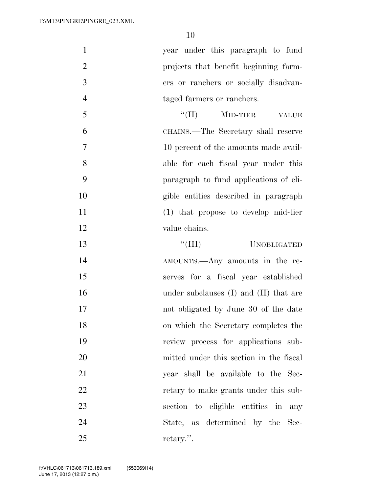year under this paragraph to fund projects that benefit beginning farm- ers or ranchers or socially disadvan-taged farmers or ranchers.

 $\text{``(II)}$  MID-TIER VALUE CHAINS.—The Secretary shall reserve 10 percent of the amounts made avail- able for each fiscal year under this paragraph to fund applications of eli- gible entities described in paragraph (1) that propose to develop mid-tier value chains.

 ''(III) UNOBLIGATED AMOUNTS.—Any amounts in the re- serves for a fiscal year established 16 under subclauses (I) and (II) that are not obligated by June 30 of the date on which the Secretary completes the review process for applications sub- mitted under this section in the fiscal year shall be available to the Sec-22 retary to make grants under this sub- section to eligible entities in any State, as determined by the Sec-retary.''.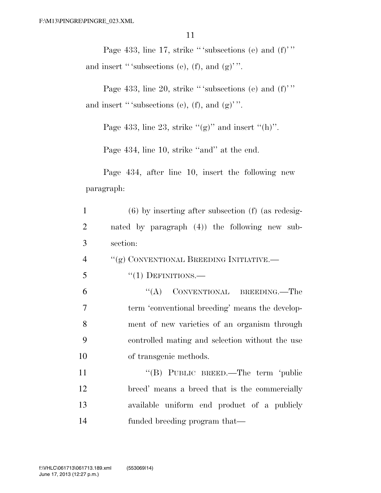Page 433, line 17, strike "'subsections (e) and  $(f)$ " and insert "'subsections (e),  $(f)$ , and  $(g)$ ".

Page 433, line 20, strike "'subsections (e) and  $(f)$ " and insert "' subsections (e),  $(f)$ , and  $(g)$ "'.

Page 433, line 23, strike " $(g)$ " and insert " $(h)$ ".

Page 434, line 10, strike ''and'' at the end.

Page 434, after line 10, insert the following new paragraph:

| $\mathbf{1}$   | $(6)$ by inserting after subsection $(f)$ (as redesig- |
|----------------|--------------------------------------------------------|
| 2              | nated by paragraph (4)) the following new sub-         |
| 3              | section:                                               |
| $\overline{4}$ | "(g) CONVENTIONAL BREEDING INITIATIVE.—                |
| 5              | $``(1)$ DEFINITIONS.—                                  |
| 6              | "(A) CONVENTIONAL BREEDING.—The                        |
| 7              | term 'conventional breeding' means the develop-        |
| 8              | ment of new varieties of an organism through           |
| 9              | controlled mating and selection without the use        |
| 10             | of transgenic methods.                                 |
| 11             | "(B) PUBLIC BREED.—The term 'public                    |
| 12             | breed' means a breed that is the commercially          |
| 13             | available uniform end product of a publicly            |
| 14             | funded breeding program that—                          |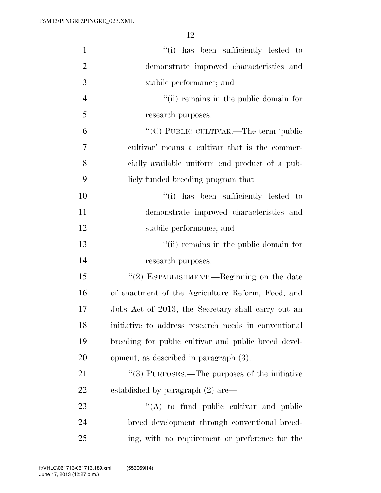| $\mathbf{1}$   | "(i) has been sufficiently tested to                      |
|----------------|-----------------------------------------------------------|
| $\overline{2}$ | demonstrate improved characteristics and                  |
| 3              | stabile performance; and                                  |
| $\overline{4}$ | "(ii) remains in the public domain for                    |
| 5              | research purposes.                                        |
| 6              | "(C) PUBLIC CULTIVAR.—The term 'public                    |
| 7              | cultivar' means a cultivar that is the commer-            |
| 8              | cially available uniform end product of a pub-            |
| 9              | licly funded breeding program that—                       |
| 10             | "(i) has been sufficiently tested to                      |
| 11             | demonstrate improved characteristics and                  |
| 12             | stabile performance; and                                  |
| 13             | "(ii) remains in the public domain for                    |
| 14             | research purposes.                                        |
| 15             | "(2) ESTABLISHMENT.—Beginning on the date                 |
| 16             | of enactment of the Agriculture Reform, Food, and         |
| 17             | Jobs Act of 2013, the Secretary shall carry out an        |
| 18             | initiative to address research needs in conventional      |
| 19             | breeding for public cultivar and public breed devel-      |
| 20             | opment, as described in paragraph (3).                    |
| 21             | $\cdot\cdot$ (3) PURPOSES.—The purposes of the initiative |
| 22             | established by paragraph (2) are—                         |
| 23             | $\lq\lq$ to fund public cultivar and public               |
| 24             | breed development through conventional breed-             |
| 25             | ing, with no requirement or preference for the            |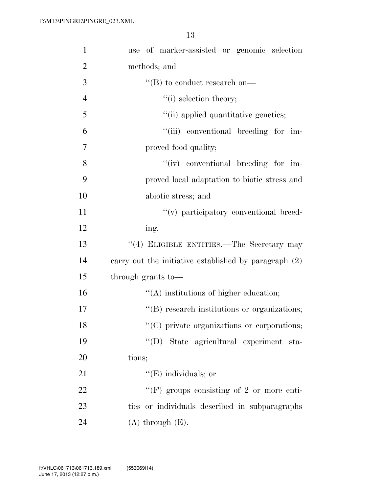| $\mathbf{1}$   | use of marker-assisted or genomic selection           |
|----------------|-------------------------------------------------------|
| $\overline{2}$ | methods; and                                          |
| 3              | $\lq\lq$ to conduct research on—                      |
| $\overline{4}$ | $"(i)$ selection theory;                              |
| 5              | "(ii) applied quantitative genetics;                  |
| 6              | "(iii) conventional breeding for im-                  |
| 7              | proved food quality;                                  |
| 8              | "(iv) conventional breeding for im-                   |
| 9              | proved local adaptation to biotic stress and          |
| 10             | abiotic stress; and                                   |
| 11             | "(v) participatory conventional breed-                |
| 12             | ing.                                                  |
| 13             | $``(4)$ ELIGIBLE ENTITIES.—The Secretary may          |
| 14             | carry out the initiative established by paragraph (2) |
| 15             | through grants to-                                    |
| 16             | $\lq\lq$ institutions of higher education;            |
| 17             | "(B) research institutions or organizations;          |
| 18             | $\lq\lq$ (C) private organizations or corporations;   |
| 19             | "(D) State agricultural experiment sta-               |
| <b>20</b>      | tions;                                                |
| 21             | $\lq\lq(E)$ individuals; or                           |
| 22             | "(F) groups consisting of 2 or more enti-             |
| 23             | ties or individuals described in subparagraphs        |
| 24             | $(A)$ through $(E)$ .                                 |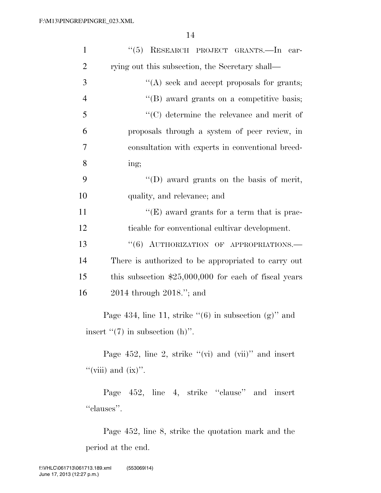| "(5) RESEARCH PROJECT GRANTS.-In car-<br>$\mathbf{1}$                                                |  |  |
|------------------------------------------------------------------------------------------------------|--|--|
| $\overline{2}$<br>rying out this subsection, the Secretary shall—                                    |  |  |
| 3<br>"(A) seek and accept proposals for grants;                                                      |  |  |
| $\overline{4}$<br>"(B) award grants on a competitive basis;                                          |  |  |
| 5<br>"(C) determine the relevance and merit of                                                       |  |  |
| 6<br>proposals through a system of peer review, in                                                   |  |  |
| 7<br>consultation with experts in conventional breed-                                                |  |  |
| 8<br>ing;                                                                                            |  |  |
| 9<br>"(D) award grants on the basis of merit,                                                        |  |  |
| 10<br>quality, and relevance; and                                                                    |  |  |
| $\lq\lq$ (E) award grants for a term that is prac-<br>11                                             |  |  |
| 12<br>ticable for conventional cultivar development.                                                 |  |  |
| 13<br>"(6) AUTHORIZATION OF APPROPRIATIONS.-                                                         |  |  |
| 14<br>There is authorized to be appropriated to carry out                                            |  |  |
| this subsection $$25,000,000$ for each of fiscal years<br>15                                         |  |  |
| 16<br>$2014$ through $2018$ ."; and                                                                  |  |  |
| Page 434, line 11, strike " $(6)$ in subsection $(g)$ " and<br>insert " $(7)$ in subsection $(h)$ ". |  |  |
| Page 452, line 2, strike " $(vi)$ and $(vii)$ " and insert<br>"(viii) and $(ix)$ ".                  |  |  |
| Page 452, line 4, strike "clause" and insert<br>"clauses".                                           |  |  |
| Page 452, line 8, strike the quotation mark and the                                                  |  |  |

period at the end.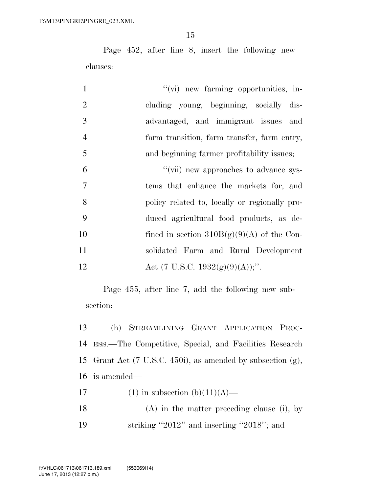Page 452, after line 8, insert the following new clauses:

| $\mathbf{1}$   | "(vi) new farming opportunities, in-          |
|----------------|-----------------------------------------------|
| $\overline{2}$ | cluding young, beginning, socially dis-       |
| 3              | advantaged, and immigrant issues and          |
| $\overline{4}$ | farm transition, farm transfer, farm entry,   |
| 5              | and beginning farmer profitability issues;    |
| 6              | "(vii) new approaches to advance sys-         |
| $\overline{7}$ | tems that enhance the markets for, and        |
| 8              | policy related to, locally or regionally pro- |
| 9              | duced agricultural food products, as de-      |
| 10             | fined in section $310B(g)(9)(A)$ of the Con-  |
| 11             | solidated Farm and Rural Development          |
| 12             | Act (7 U.S.C. 1932(g)(9)(A));".               |

Page 455, after line 7, add the following new subsection:

 (h) STREAMLINING GRANT APPLICATION PROC- ESS.—The Competitive, Special, and Facilities Research Grant Act (7 U.S.C. 450i), as amended by subsection (g), is amended—

- 17 (1) in subsection  $(b)(11)(A)$ —
- (A) in the matter preceding clause (i), by 19 striking "2012" and inserting "2018"; and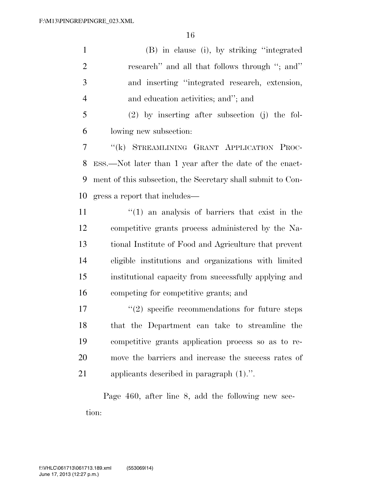(B) in clause (i), by striking ''integrated research'' and all that follows through ''; and'' and inserting ''integrated research, extension, and education activities; and''; and (2) by inserting after subsection (j) the fol-lowing new subsection:

 ''(k) STREAMLINING GRANT APPLICATION PROC- ESS.—Not later than 1 year after the date of the enact- ment of this subsection, the Secretary shall submit to Con-gress a report that includes—

11 ''(1) an analysis of barriers that exist in the competitive grants process administered by the Na- tional Institute of Food and Agriculture that prevent eligible institutions and organizations with limited institutional capacity from successfully applying and competing for competitive grants; and

 $\binom{17}{2}$  specific recommendations for future steps that the Department can take to streamline the competitive grants application process so as to re- move the barriers and increase the success rates of applicants described in paragraph (1).''.

Page 460, after line 8, add the following new section: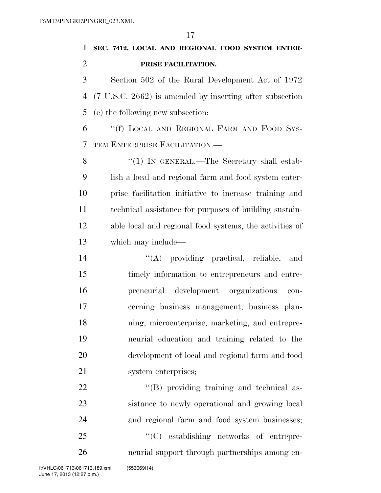**SEC. 7412. LOCAL AND REGIONAL FOOD SYSTEM ENTER-PRISE FACILITATION.** 

 Section 502 of the Rural Development Act of 1972 (7 U.S.C. 2662) is amended by inserting after subsection (e) the following new subsection:

 ''(f) LOCAL AND REGIONAL FARM AND FOOD SYS-TEM ENTERPRISE FACILITATION.—

8 "(1) In GENERAL.—The Secretary shall estab- lish a local and regional farm and food system enter- prise facilitation initiative to increase training and technical assistance for purposes of building sustain- able local and regional food systems, the activities of which may include—

 $\langle (A)$  providing practical, reliable, and timely information to entrepreneurs and entre- preneurial development organizations con- cerning business management, business plan- ning, microenterprise, marketing, and entrepre- neurial education and training related to the development of local and regional farm and food system enterprises;

22 ''(B) providing training and technical as- sistance to newly operational and growing local and regional farm and food system businesses; ''(C) establishing networks of entrepre-neurial support through partnerships among en-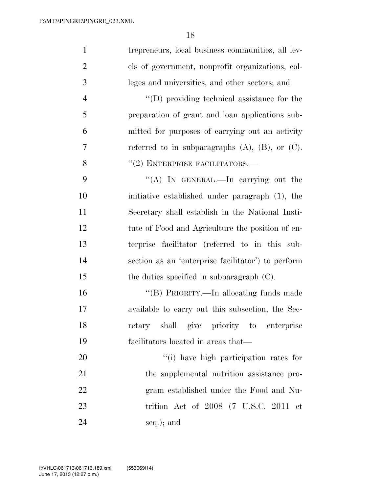| $\mathbf{1}$   | trepreneurs, local business communities, all lev-       |
|----------------|---------------------------------------------------------|
| $\overline{2}$ | els of government, nonprofit organizations, col-        |
| 3              | leges and universities, and other sectors; and          |
| $\overline{4}$ | $\lq\lq$ (D) providing technical assistance for the     |
| 5              | preparation of grant and loan applications sub-         |
| 6              | mitted for purposes of carrying out an activity         |
| 7              | referred to in subparagraphs $(A)$ , $(B)$ , or $(C)$ . |
| 8              | $``(2)$ ENTERPRISE FACILITATORS.—                       |
| 9              | "(A) IN GENERAL.—In carrying out the                    |
| 10             | initiative established under paragraph (1), the         |
| 11             | Secretary shall establish in the National Insti-        |
| 12             | tute of Food and Agriculture the position of en-        |
| 13             | terprise facilitator (referred to in this sub-          |
| 14             | section as an 'enterprise facilitator') to perform      |
| 15             | the duties specified in subparagraph $(C)$ .            |
| 16             | "(B) PRIORITY.—In allocating funds made                 |
| 17             | available to carry out this subsection, the Sec-        |
| 18             | retary shall give priority to enterprise                |
| 19             | facilitators located in areas that—                     |
| 20             | "(i) have high participation rates for                  |
| 21             | the supplemental nutrition assistance pro-              |
| 22             | gram established under the Food and Nu-                 |
| 23             | trition Act of $2008$ (7 U.S.C. 2011 et                 |
| 24             | seq.); and                                              |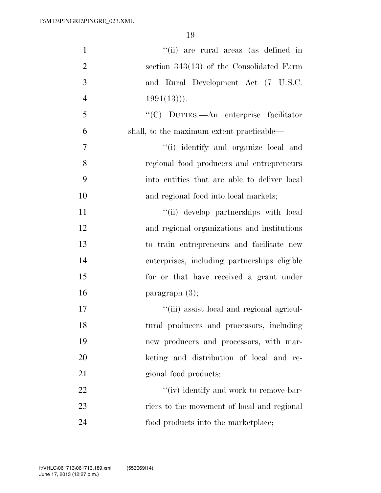| $\mathbf{1}$   | "(ii) are rural areas (as defined in         |
|----------------|----------------------------------------------|
| $\overline{2}$ | section $343(13)$ of the Consolidated Farm   |
| 3              | and Rural Development Act (7 U.S.C.          |
| $\overline{4}$ | $1991(13))$ .                                |
| 5              | "(C) DUTIES.—An enterprise facilitator       |
| 6              | shall, to the maximum extent practicable—    |
| 7              | "(i) identify and organize local and         |
| 8              | regional food producers and entrepreneurs    |
| 9              | into entities that are able to deliver local |
| 10             | and regional food into local markets;        |
| 11             | "(ii) develop partnerships with local        |
| 12             | and regional organizations and institutions  |
| 13             | to train entrepreneurs and facilitate new    |
| 14             | enterprises, including partnerships eligible |
| 15             | for or that have received a grant under      |
| 16             | paragraph $(3)$ ;                            |
| 17             | "(iii) assist local and regional agricul-    |
| 18             | tural producers and processors, including    |
| 19             | new producers and processors, with mar-      |
| 20             | keting and distribution of local and re-     |
| 21             | gional food products;                        |
| 22             | "(iv) identify and work to remove bar-       |
| 23             | riers to the movement of local and regional  |
| 24             | food products into the market place;         |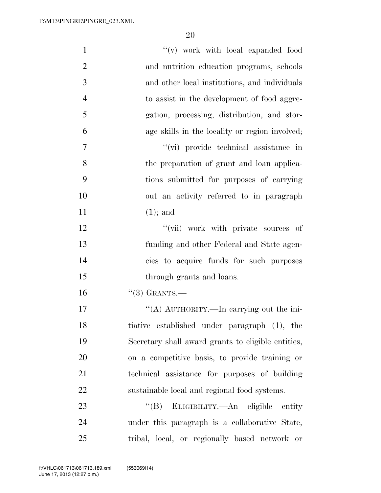| $\mathbf{1}$   | "(v) work with local expanded food                 |
|----------------|----------------------------------------------------|
| $\overline{2}$ | and nutrition education programs, schools          |
| 3              | and other local institutions, and individuals      |
| $\overline{4}$ |                                                    |
|                | to assist in the development of food aggre-        |
| 5              | gation, processing, distribution, and stor-        |
| 6              | age skills in the locality or region involved;     |
| $\tau$         | "(vi) provide technical assistance in              |
| 8              | the preparation of grant and loan applica-         |
| 9              | tions submitted for purposes of carrying           |
| 10             | out an activity referred to in paragraph           |
| 11             | $(1)$ ; and                                        |
| 12             | "(vii) work with private sources of                |
| 13             | funding and other Federal and State agen-          |
| 14             | cies to acquire funds for such purposes            |
| 15             | through grants and loans.                          |
| 16             | $(3)$ GRANTS.                                      |
| 17             | "(A) AUTHORITY.—In carrying out the ini-           |
| 18             | tiative established under paragraph (1), the       |
| 19             | Secretary shall award grants to eligible entities, |
| 20             | on a competitive basis, to provide training or     |
| 21             | technical assistance for purposes of building      |
| 22             | sustainable local and regional food systems.       |
| 23             | $\lq\lq (B)$<br>ELIGIBILITY.—An eligible entity    |
| 24             | under this paragraph is a collaborative State,     |
| 25             | tribal, local, or regionally based network or      |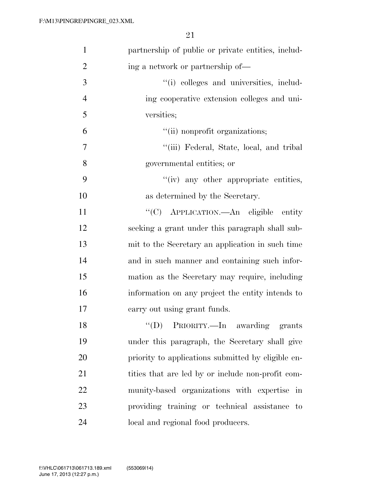| $\mathbf{1}$   | partnership of public or private entities, includ- |
|----------------|----------------------------------------------------|
| $\overline{2}$ | ing a network or partnership of—                   |
| 3              | "(i) colleges and universities, includ-            |
| $\overline{4}$ | ing cooperative extension colleges and uni-        |
| 5              | versities;                                         |
| 6              | "(ii) nonprofit organizations;                     |
| 7              | "(iii) Federal, State, local, and tribal           |
| 8              | governmental entities; or                          |
| 9              | "(iv) any other appropriate entities,              |
| 10             | as determined by the Secretary.                    |
| 11             | "(C) APPLICATION.—An eligible entity               |
| 12             | seeking a grant under this paragraph shall sub-    |
| 13             | mit to the Secretary an application in such time   |
| 14             | and in such manner and containing such infor-      |
| 15             | mation as the Secretary may require, including     |
| 16             | information on any project the entity intends to   |
| 17             | carry out using grant funds.                       |
| 18             | "(D) PRIORITY.—In awarding grants                  |
| 19             | under this paragraph, the Secretary shall give     |
| 20             | priority to applications submitted by eligible en- |
| 21             | tities that are led by or include non-profit com-  |
| 22             | munity-based organizations with expertise in       |
| 23             | providing training or technical assistance to      |
| 24             | local and regional food producers.                 |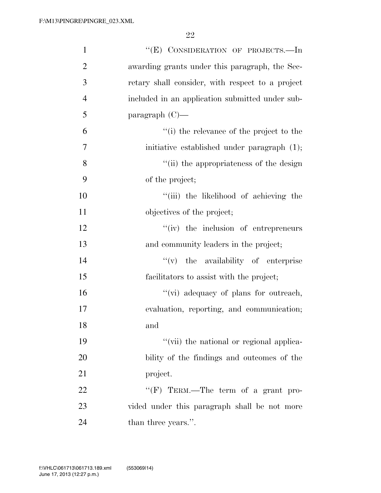| $\mathbf{1}$   | "(E) CONSIDERATION OF PROJECTS.-In               |
|----------------|--------------------------------------------------|
| $\overline{2}$ | awarding grants under this paragraph, the Sec-   |
| 3              | retary shall consider, with respect to a project |
| $\overline{4}$ | included in an application submitted under sub-  |
| 5              | paragraph $(C)$ —                                |
| 6              | "(i) the relevance of the project to the         |
| 7              | initiative established under paragraph (1);      |
| 8              | "(ii) the appropriateness of the design          |
| 9              | of the project;                                  |
| 10             | "(iii) the likelihood of achieving the           |
| 11             | objectives of the project;                       |
| 12             | $f'(iv)$ the inclusion of entrepreneurs          |
| 13             | and community leaders in the project;            |
| 14             | $f'(v)$ the availability of enterprise           |
| 15             | facilitators to assist with the project;         |
| 16             | "(vi) adequacy of plans for outreach,            |
| 17             | evaluation, reporting, and communication;        |
| 18             | and                                              |
| 19             | "(vii) the national or regional applica-         |
| 20             | bility of the findings and outcomes of the       |
| 21             | project.                                         |
| 22             | " $(F)$ TERM.—The term of a grant pro-           |
| 23             | vided under this paragraph shall be not more     |
| 24             | than three years.".                              |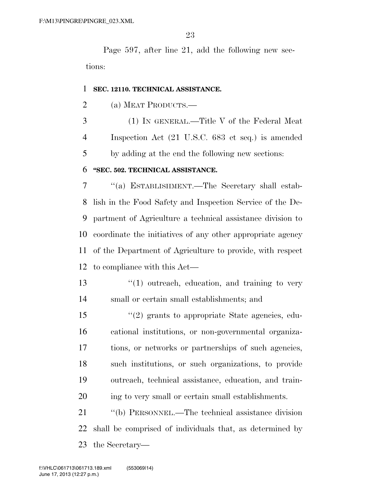Page 597, after line 21, add the following new sections:

#### **SEC. 12110. TECHNICAL ASSISTANCE.**

(a) MEAT PRODUCTS.—

 (1) IN GENERAL.—Title V of the Federal Meat Inspection Act (21 U.S.C. 683 et seq.) is amended by adding at the end the following new sections:

#### **''SEC. 502. TECHNICAL ASSISTANCE.**

 ''(a) ESTABLISHMENT.—The Secretary shall estab- lish in the Food Safety and Inspection Service of the De- partment of Agriculture a technical assistance division to coordinate the initiatives of any other appropriate agency of the Department of Agriculture to provide, with respect to compliance with this Act—

13 ''(1) outreach, education, and training to very small or certain small establishments; and

 ''(2) grants to appropriate State agencies, edu- cational institutions, or non-governmental organiza- tions, or networks or partnerships of such agencies, such institutions, or such organizations, to provide outreach, technical assistance, education, and train-ing to very small or certain small establishments.

 ''(b) PERSONNEL.—The technical assistance division shall be comprised of individuals that, as determined by the Secretary—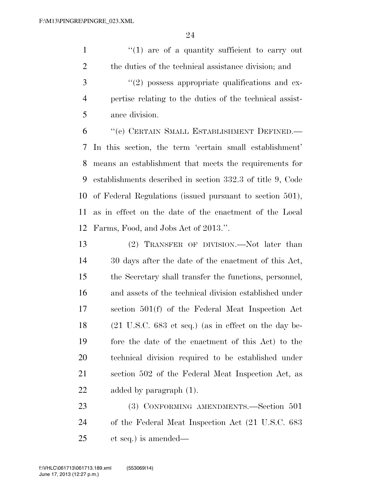$\frac{1}{1}$  are of a quantity sufficient to carry out the duties of the technical assistance division; and  $\mathcal{S}$  ''(2) possess appropriate qualifications and ex- pertise relating to the duties of the technical assist-ance division.

 ''(c) CERTAIN SMALL ESTABLISHMENT DEFINED.— In this section, the term 'certain small establishment' means an establishment that meets the requirements for establishments described in section 332.3 of title 9, Code of Federal Regulations (issued pursuant to section 501), as in effect on the date of the enactment of the Local Farms, Food, and Jobs Act of 2013.''.

 (2) TRANSFER OF DIVISION.—Not later than 30 days after the date of the enactment of this Act, the Secretary shall transfer the functions, personnel, and assets of the technical division established under section 501(f) of the Federal Meat Inspection Act (21 U.S.C. 683 et seq.) (as in effect on the day be- fore the date of the enactment of this Act) to the technical division required to be established under section 502 of the Federal Meat Inspection Act, as added by paragraph (1).

 (3) CONFORMING AMENDMENTS.—Section 501 of the Federal Meat Inspection Act (21 U.S.C. 683 et seq.) is amended—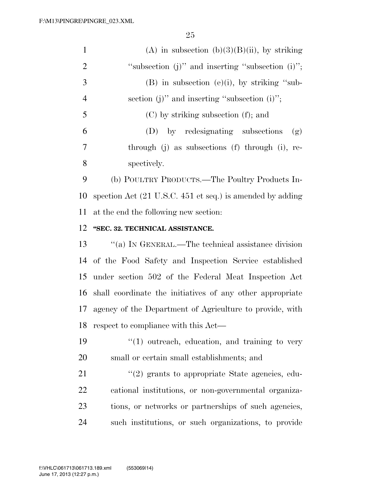|                | (A) in subsection (b)(3)(B)(ii), by striking           |
|----------------|--------------------------------------------------------|
| 2              | "subsection $(i)$ " and inserting "subsection $(i)$ "; |
| 3              | $(B)$ in subsection $(e)(i)$ , by striking "sub-       |
| $\overline{4}$ | section (j)" and inserting "subsection (i)";           |
| 5              | $(C)$ by striking subsection $(f)$ ; and               |
| 6              | (D) by redesignating subsections<br>(g)                |
| 7              | through (j) as subsections (f) through (i), re-        |
| 8              | spectively.                                            |

 (b) POULTRY PRODUCTS.—The Poultry Products In- spection Act (21 U.S.C. 451 et seq.) is amended by adding at the end the following new section:

#### **''SEC. 32. TECHNICAL ASSISTANCE.**

 ''(a) IN GENERAL.—The technical assistance division of the Food Safety and Inspection Service established under section 502 of the Federal Meat Inspection Act shall coordinate the initiatives of any other appropriate agency of the Department of Agriculture to provide, with respect to compliance with this Act—

19  $\frac{1}{2}$  (1) outreach, education, and training to very small or certain small establishments; and

 $(2)$  grants to appropriate State agencies, edu- cational institutions, or non-governmental organiza- tions, or networks or partnerships of such agencies, such institutions, or such organizations, to provide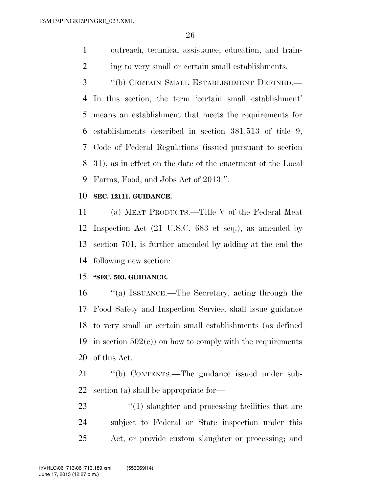outreach, technical assistance, education, and train-2 ing to very small or certain small establishments.

 ''(b) CERTAIN SMALL ESTABLISHMENT DEFINED.— In this section, the term 'certain small establishment' means an establishment that meets the requirements for establishments described in section 381.513 of title 9, Code of Federal Regulations (issued pursuant to section 31), as in effect on the date of the enactment of the Local Farms, Food, and Jobs Act of 2013.''.

#### **SEC. 12111. GUIDANCE.**

 (a) MEAT PRODUCTS.—Title V of the Federal Meat Inspection Act (21 U.S.C. 683 et seq.), as amended by section 701, is further amended by adding at the end the following new section:

#### **''SEC. 503. GUIDANCE.**

 ''(a) ISSUANCE.—The Secretary, acting through the Food Safety and Inspection Service, shall issue guidance to very small or certain small establishments (as defined 19 in section  $502(c)$  on how to comply with the requirements of this Act.

 ''(b) CONTENTS.—The guidance issued under sub-section (a) shall be appropriate for—

23 ''(1) slaughter and processing facilities that are subject to Federal or State inspection under this Act, or provide custom slaughter or processing; and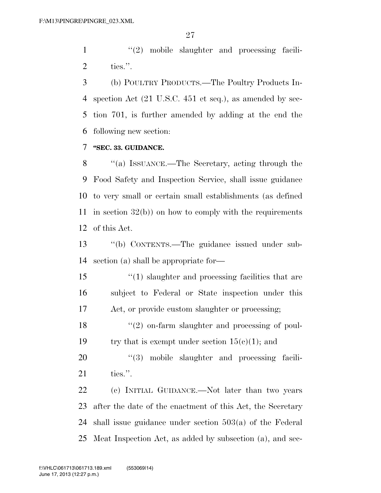1 ''(2) mobile slaughter and processing facili-ties.''.

 (b) POULTRY PRODUCTS.—The Poultry Products In- spection Act (21 U.S.C. 451 et seq.), as amended by sec- tion 701, is further amended by adding at the end the following new section:

#### **''SEC. 33. GUIDANCE.**

 ''(a) ISSUANCE.—The Secretary, acting through the Food Safety and Inspection Service, shall issue guidance to very small or certain small establishments (as defined in section 32(b)) on how to comply with the requirements of this Act.

 ''(b) CONTENTS.—The guidance issued under sub-section (a) shall be appropriate for—

 ''(1) slaughter and processing facilities that are subject to Federal or State inspection under this Act, or provide custom slaughter or processing;

18 ''(2) on-farm slaughter and processing of poul-19 try that is exempt under section  $15(c)(1)$ ; and

20  $(3)$  mobile slaughter and processing facili-ties.''.

 (c) INITIAL GUIDANCE.—Not later than two years after the date of the enactment of this Act, the Secretary shall issue guidance under section 503(a) of the Federal Meat Inspection Act, as added by subsection (a), and sec-